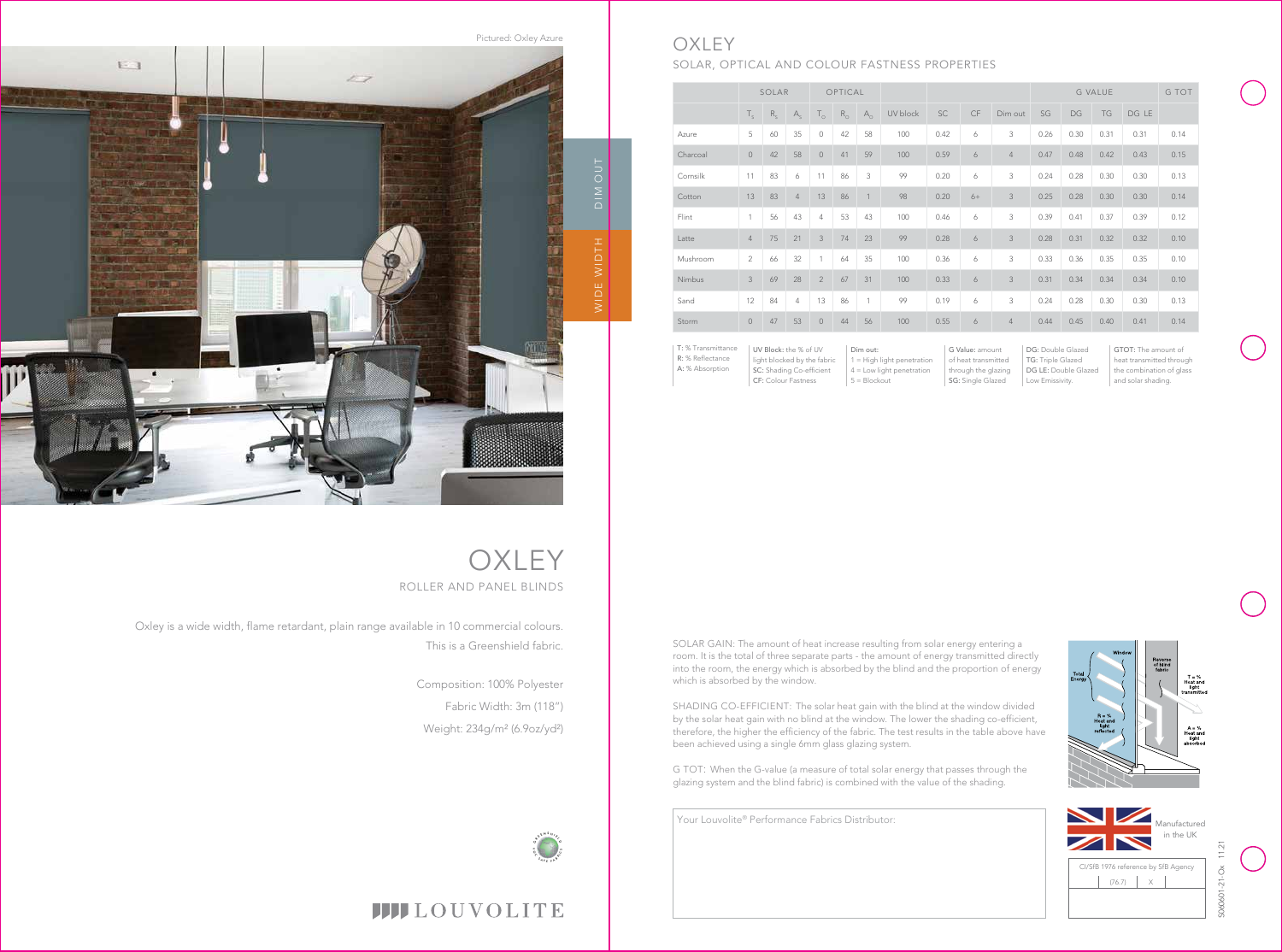**OXLEY** ROLLER AND PANEL BLINDS

Oxley is a wide width, flame retardant, plain range available in 10 commercial colours. This is a Greenshield fabric.

> Composition: 100% Polyester Fabric Width: 3m (118") Weight: 234g/m² (6.9oz/yd²)





## **OXLEY** SOLAR, OPTICAL AND COLOUR FASTNESS PROPERTIES

R: % Reflectance A: % Absorption

Pictured: Oxley Azure  $F - 1$  $27$ DIM OUTWIDE WIDTH WIDE

|                    | SOLAR                 |         |                           | OPTICAL        |             |              |          |                 |      |                | <b>G VALUE</b>                           |      |      |       | G TOT |
|--------------------|-----------------------|---------|---------------------------|----------------|-------------|--------------|----------|-----------------|------|----------------|------------------------------------------|------|------|-------|-------|
|                    | $T_{\rm s}$           | $R_{s}$ | $\mathsf{A}_{\mathsf{s}}$ | $T_{\circ}$    | $R_{\odot}$ | $A_{\circ}$  | UV block | <b>SC</b>       | CF   | Dim out        | SG                                       | DG   | TG   | DG LE |       |
| Azure              | 5                     | 60      | 35                        | $\circ$        | 42          | 58           | 100      | 0.42            | 6    | 3              | 0.26                                     | 0.30 | 0.31 | 0.31  | 0.14  |
| Charcoal           | $\circ$               | 42      | 58                        | $\circ$        | 41          | 59           | 100      | 0.59            | 6    | $\overline{4}$ | 0.47                                     | 0.48 | 0.42 | 0.43  | 0.15  |
| Cornsilk           | 11                    | 83      | 6                         | 11             | 86          | 3            | 99       | 0.20            | 6    | 3              | 0.24                                     | 0.28 | 0.30 | 0.30  | 0.13  |
| Cotton             | 13                    | 83      | $\overline{4}$            | 13             | 86          | $\mathbf{1}$ | 98       | 0.20            | $6+$ | $\mathfrak{Z}$ | 0.25                                     | 0.28 | 0.30 | 0.30  | 0.14  |
| Flint              | 1                     | 56      | 43                        | 4              | 53          | 43           | 100      | 0.46            | 6    | 3              | 0.39                                     | 0.41 | 0.37 | 0.39  | 0.12  |
| Latte              | $\overline{4}$        | 75      | 21                        | 3              | 74          | 23           | 99       | 0.28            | 6    | 3              | 0.28                                     | 0.31 | 0.32 | 0.32  | 0.10  |
| Mushroom           | $\overline{2}$        | 66      | 32                        | 1              | 64          | 35           | 100      | 0.36            | 6    | 3              | 0.33                                     | 0.36 | 0.35 | 0.35  | 0.10  |
| Nimbus             | 3                     | 69      | 28                        | $\overline{2}$ | 67          | 31           | 100      | 0.33            | 6    | $\mathfrak{Z}$ | 0.31                                     | 0.34 | 0.34 | 0.34  | 0.10  |
| Sand               | 12                    | 84      | $\overline{4}$            | 13             | 86          | $\mathbf{1}$ | 99       | 0.19            | 6    | 3              | 0.24                                     | 0.28 | 0.30 | 0.30  | 0.13  |
| Storm              | $\circ$               | 47      | 53                        | $\circ$        | 44          | 56           | 100      | 0.55            | 6    | $\overline{4}$ | 0.44                                     | 0.45 | 0.40 | 0.41  | 0.14  |
| T: % Transmittance | UV Block: the % of UV |         |                           |                | Dim out:    |              |          | G Value: amount |      |                | DG: Double Glazed<br>GTOT: The amount of |      |      |       |       |

UV Block: the % of UV light blocked by the fabric SC: Shading Co-efficient CF: Colour Fastness

 $1 =$  High light penetration 4 = Low light penetration G Value: amount of heat transmitted through the glazing SG: Single Glazed

DG: Double Glazed TG: Triple Glazed DG LE: Double Glazed Low Emissivity.

GTOT: The amount of heat transmitted through the combination of glass and solar shading.





# **IIII**LOUVOLITE

SOLAR GAIN: The amount of heat increase resulting from solar energy entering a room. It is the total of three separate parts - the amount of energy transmitted directly into the room, the energy which is absorbed by the blind and the proportion of energy which is absorbed by the window.

SHADING CO-EFFICIENT: The solar heat gain with the blind at the window divided by the solar heat gain with no blind at the window. The lower the shading co-efficient, therefore, the higher the efficiency of the fabric. The test results in the table above have been achieved using a single 6mm glass glazing system.

 $5 = 5$ lockout

G TOT: When the G-value (a measure of total solar energy that passes through the glazing system and the blind fabric) is combined with the value of the shading.